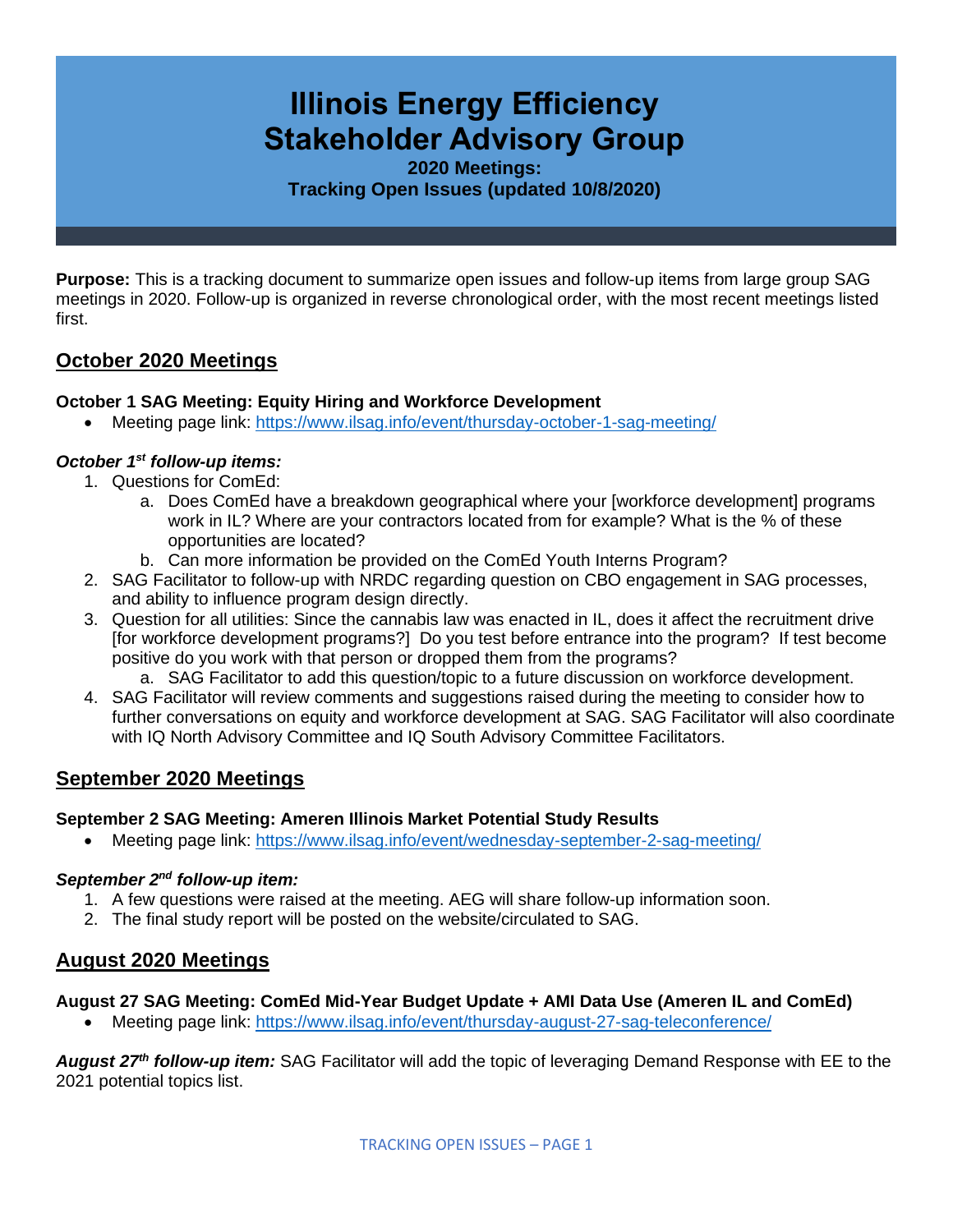# **Illinois Energy Efficiency Stakeholder Advisory Group**

**2020 Meetings: Tracking Open Issues (updated 10/8/2020)**

**Purpose:** This is a tracking document to summarize open issues and follow-up items from large group SAG meetings in 2020. Follow-up is organized in reverse chronological order, with the most recent meetings listed first.

# **October 2020 Meetings**

## **October 1 SAG Meeting: Equity Hiring and Workforce Development**

• Meeting page link: <https://www.ilsag.info/event/thursday-october-1-sag-meeting/>

## *October 1st follow-up items:*

- 1. Questions for ComEd:
	- a. Does ComEd have a breakdown geographical where your [workforce development] programs work in IL? Where are your contractors located from for example? What is the % of these opportunities are located?
	- b. Can more information be provided on the ComEd Youth Interns Program?
- 2. SAG Facilitator to follow-up with NRDC regarding question on CBO engagement in SAG processes, and ability to influence program design directly.
- 3. Question for all utilities: Since the cannabis law was enacted in IL, does it affect the recruitment drive [for workforce development programs?] Do you test before entrance into the program? If test become positive do you work with that person or dropped them from the programs?
	- a. SAG Facilitator to add this question/topic to a future discussion on workforce development.
- 4. SAG Facilitator will review comments and suggestions raised during the meeting to consider how to further conversations on equity and workforce development at SAG. SAG Facilitator will also coordinate with IQ North Advisory Committee and IQ South Advisory Committee Facilitators.

# **September 2020 Meetings**

#### **September 2 SAG Meeting: Ameren Illinois Market Potential Study Results**

• Meeting page link:<https://www.ilsag.info/event/wednesday-september-2-sag-meeting/>

#### *September 2nd follow-up item:*

- 1. A few questions were raised at the meeting. AEG will share follow-up information soon.
- 2. The final study report will be posted on the website/circulated to SAG.

# **August 2020 Meetings**

#### **August 27 SAG Meeting: ComEd Mid-Year Budget Update + AMI Data Use (Ameren IL and ComEd)**

• Meeting page link:<https://www.ilsag.info/event/thursday-august-27-sag-teleconference/>

*August 27th follow-up item:* SAG Facilitator will add the topic of leveraging Demand Response with EE to the 2021 potential topics list.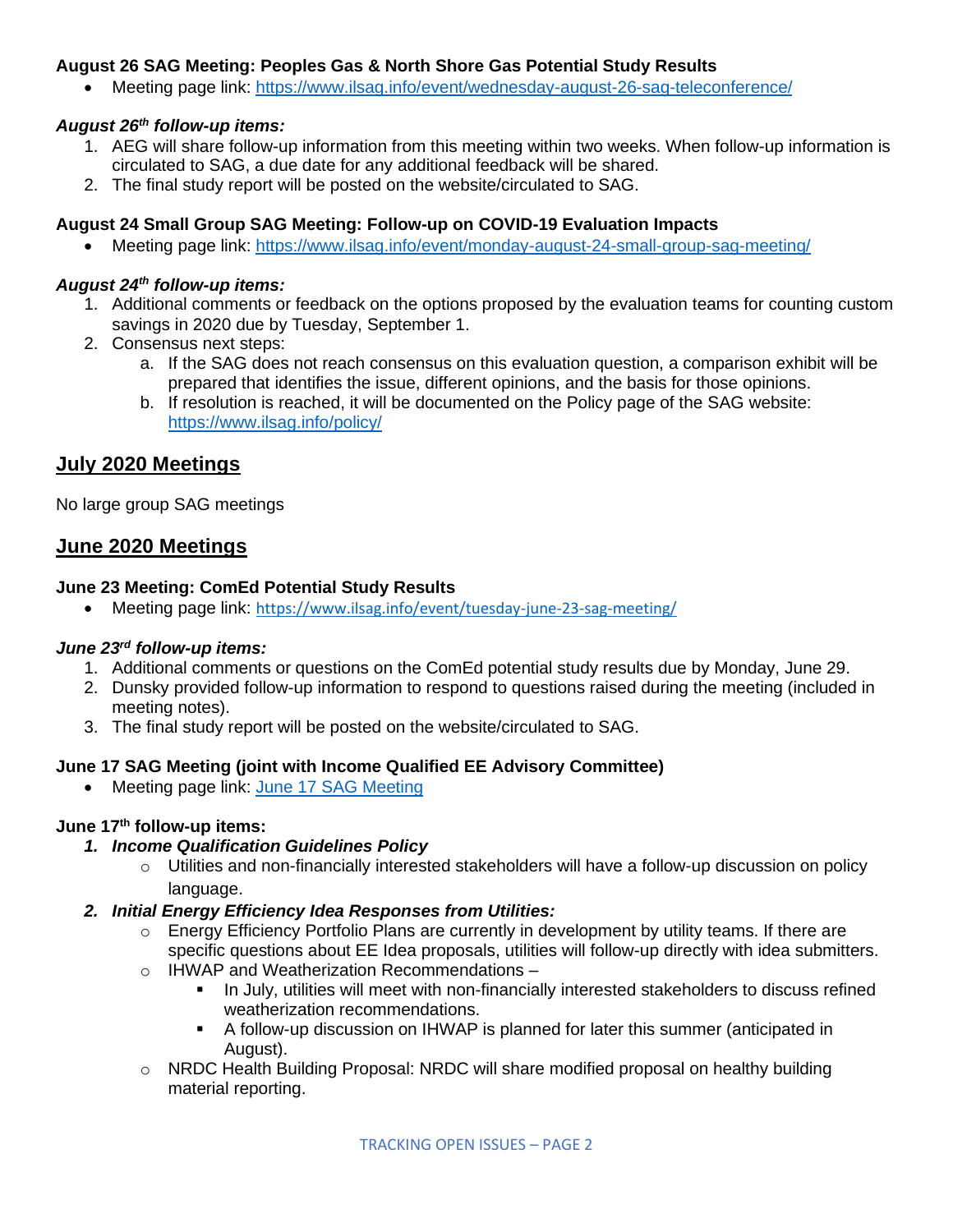#### **August 26 SAG Meeting: Peoples Gas & North Shore Gas Potential Study Results**

• Meeting page link:<https://www.ilsag.info/event/wednesday-august-26-sag-teleconference/>

#### *August 26th follow-up items:*

- 1. AEG will share follow-up information from this meeting within two weeks. When follow-up information is circulated to SAG, a due date for any additional feedback will be shared.
- 2. The final study report will be posted on the website/circulated to SAG.

#### **August 24 Small Group SAG Meeting: Follow-up on COVID-19 Evaluation Impacts**

• Meeting page link: <https://www.ilsag.info/event/monday-august-24-small-group-sag-meeting/>

#### *August 24th follow-up items:*

- 1. Additional comments or feedback on the options proposed by the evaluation teams for counting custom savings in 2020 due by Tuesday, September 1.
- 2. Consensus next steps:
	- a. If the SAG does not reach consensus on this evaluation question, a comparison exhibit will be prepared that identifies the issue, different opinions, and the basis for those opinions.
	- b. If resolution is reached, it will be documented on the Policy page of the SAG website: <https://www.ilsag.info/policy/>

# **July 2020 Meetings**

No large group SAG meetings

# **June 2020 Meetings**

#### **June 23 Meeting: ComEd Potential Study Results**

• Meeting page link: <https://www.ilsag.info/event/tuesday-june-23-sag-meeting/>

#### *June 23rd follow-up items:*

- 1. Additional comments or questions on the ComEd potential study results due by Monday, June 29.
- 2. Dunsky provided follow-up information to respond to questions raised during the meeting (included in meeting notes).
- 3. The final study report will be posted on the website/circulated to SAG.

#### **June 17 SAG Meeting (joint with Income Qualified EE Advisory Committee)**

• Meeting page link: [June 17 SAG Meeting](https://www.ilsag.info/event/wednesday-june-17-sag-meeting/)

# **June 17th follow-up items:**

- *1. Income Qualification Guidelines Policy*
	- $\circ$  Utilities and non-financially interested stakeholders will have a follow-up discussion on policy language.

#### *2. Initial Energy Efficiency Idea Responses from Utilities:*

- $\circ$  Energy Efficiency Portfolio Plans are currently in development by utility teams. If there are specific questions about EE Idea proposals, utilities will follow-up directly with idea submitters.
- o IHWAP and Weatherization Recommendations
	- In July, utilities will meet with non-financially interested stakeholders to discuss refined weatherization recommendations.
	- A follow-up discussion on IHWAP is planned for later this summer (anticipated in August).
- o NRDC Health Building Proposal: NRDC will share modified proposal on healthy building material reporting.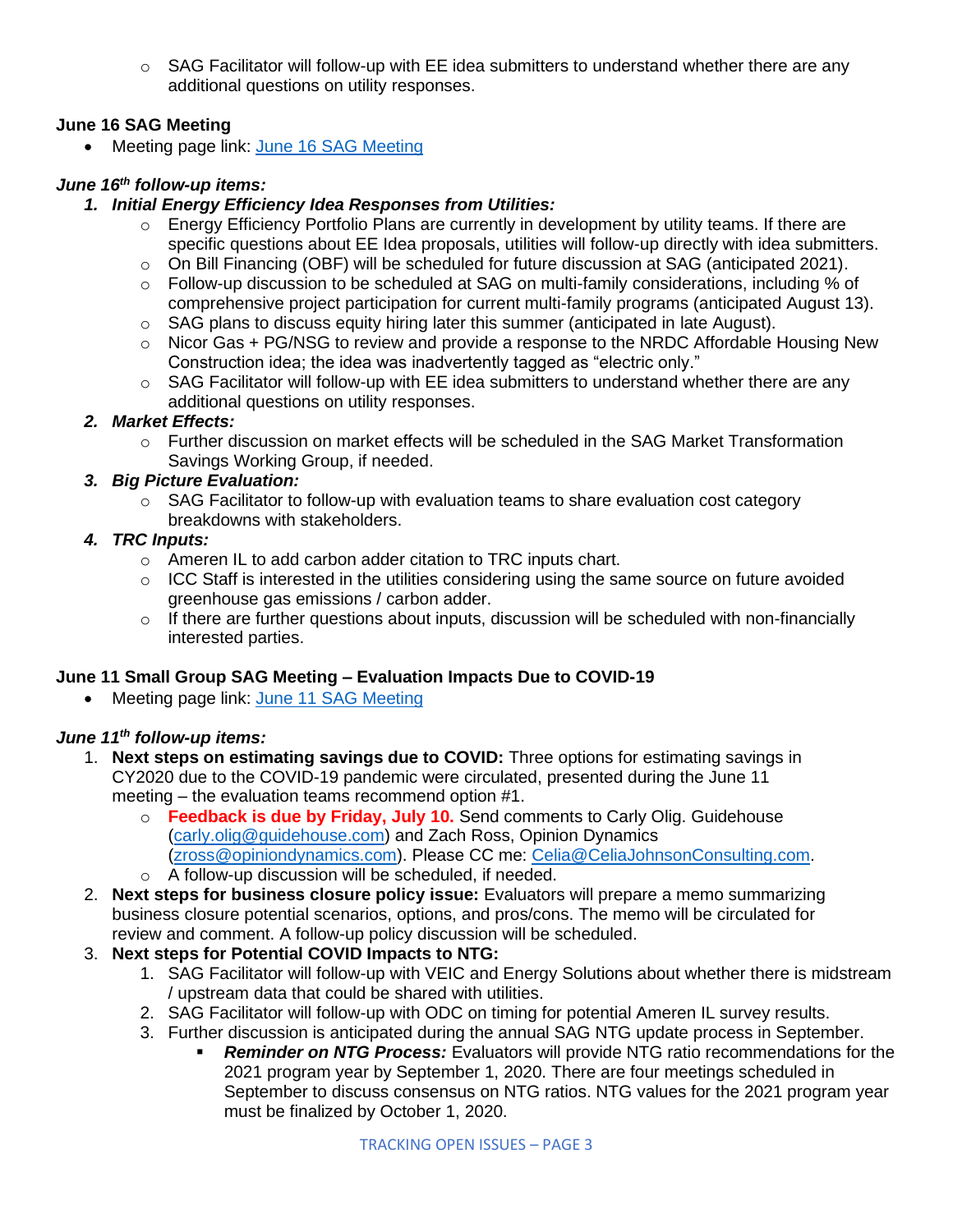$\circ$  SAG Facilitator will follow-up with EE idea submitters to understand whether there are any additional questions on utility responses.

# **June 16 SAG Meeting**

• Meeting page link: [June 16 SAG Meeting](https://www.ilsag.info/event/tuesday-june-16-sag-meeting/)

# *June 16th follow-up items:*

## *1. Initial Energy Efficiency Idea Responses from Utilities:*

- $\circ$  Energy Efficiency Portfolio Plans are currently in development by utility teams. If there are specific questions about EE Idea proposals, utilities will follow-up directly with idea submitters.
- o On Bill Financing (OBF) will be scheduled for future discussion at SAG (anticipated 2021).
- $\circ$  Follow-up discussion to be scheduled at SAG on multi-family considerations, including % of comprehensive project participation for current multi-family programs (anticipated August 13).
- $\circ$  SAG plans to discuss equity hiring later this summer (anticipated in late August).
- o Nicor Gas + PG/NSG to review and provide a response to the NRDC Affordable Housing New Construction idea; the idea was inadvertently tagged as "electric only."
- $\circ$  SAG Facilitator will follow-up with EE idea submitters to understand whether there are any additional questions on utility responses.

## *2. Market Effects:*

o Further discussion on market effects will be scheduled in the SAG Market Transformation Savings Working Group, if needed.

# *3. Big Picture Evaluation:*

o SAG Facilitator to follow-up with evaluation teams to share evaluation cost category breakdowns with stakeholders.

#### *4. TRC Inputs:*

- o Ameren IL to add carbon adder citation to TRC inputs chart.
- $\circ$  ICC Staff is interested in the utilities considering using the same source on future avoided greenhouse gas emissions / carbon adder.
- $\circ$  If there are further questions about inputs, discussion will be scheduled with non-financially interested parties.

# **June 11 Small Group SAG Meeting – Evaluation Impacts Due to COVID-19**

• Meeting page link: [June 11 SAG Meeting](https://www.ilsag.info/event/thursday-june-11-small-group-sag-meeting/)

# *June 11th follow-up items:*

- 1. **Next steps on estimating savings due to COVID:** Three options for estimating savings in CY2020 due to the COVID-19 pandemic were circulated, presented during the June 11 meeting – the evaluation teams recommend option #1.
	- o **Feedback is due by Friday, July 10.** Send comments to Carly Olig. Guidehouse [\(carly.olig@guidehouse.com\)](mailto:carly.olig@guidehouse.com) and Zach Ross, Opinion Dynamics [\(zross@opiniondynamics.com\)](mailto:zross@opiniondynamics.com). Please CC me: [Celia@CeliaJohnsonConsulting.com.](mailto:Celia@CeliaJohnsonConsulting.com) o A follow-up discussion will be scheduled, if needed.
- 2. **Next steps for business closure policy issue:** Evaluators will prepare a memo summarizing business closure potential scenarios, options, and pros/cons. The memo will be circulated for review and comment. A follow-up policy discussion will be scheduled.
- 3. **Next steps for Potential COVID Impacts to NTG:**
	- 1. SAG Facilitator will follow-up with VEIC and Energy Solutions about whether there is midstream / upstream data that could be shared with utilities.
	- 2. SAG Facilitator will follow-up with ODC on timing for potential Ameren IL survey results.
	- 3. Further discussion is anticipated during the annual SAG NTG update process in September.
		- **Reminder on NTG Process:** Evaluators will provide NTG ratio recommendations for the 2021 program year by September 1, 2020. There are four meetings scheduled in September to discuss consensus on NTG ratios. NTG values for the 2021 program year must be finalized by October 1, 2020.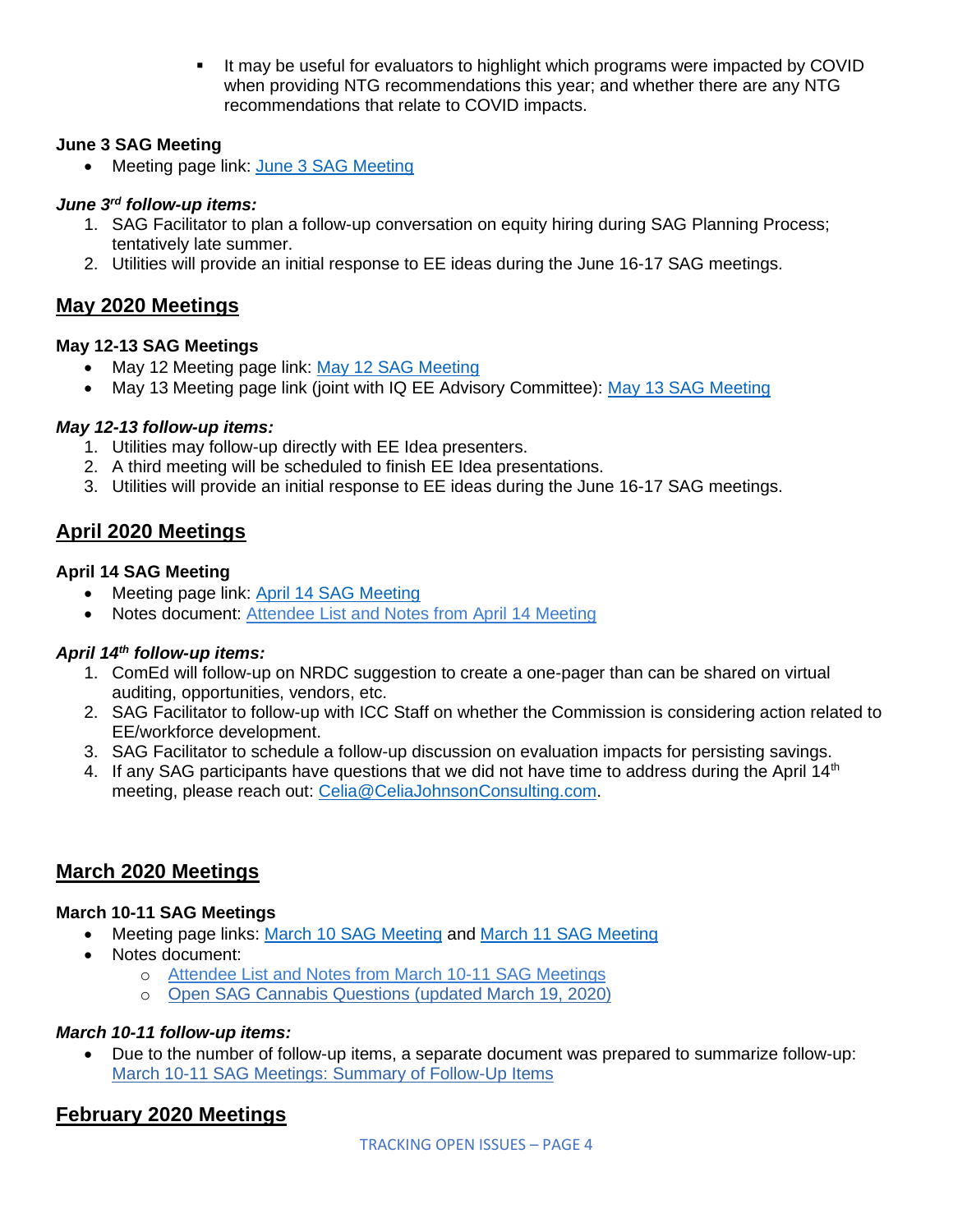**.** It may be useful for evaluators to highlight which programs were impacted by COVID when providing NTG recommendations this year; and whether there are any NTG recommendations that relate to COVID impacts.

# **June 3 SAG Meeting**

• Meeting page link: [June 3 SAG Meeting](https://www.ilsag.info/event/wednesday-june-3-sag-meeting/)

#### *June 3rd follow-up items:*

- 1. SAG Facilitator to plan a follow-up conversation on equity hiring during SAG Planning Process; tentatively late summer.
- 2. Utilities will provide an initial response to EE ideas during the June 16-17 SAG meetings.

# **May 2020 Meetings**

## **May 12-13 SAG Meetings**

- May 12 Meeting page link: [May 12 SAG Meeting](https://www.ilsag.info/event/tuesday-may-12-sag-meeting/)
- May 13 Meeting page link (joint with IQ EE Advisory Committee): [May 13 SAG Meeting](https://www.ilsag.info/event/wednesday-may-13-sag-meeting/)

## *May 12-13 follow-up items:*

- 1. Utilities may follow-up directly with EE Idea presenters.
- 2. A third meeting will be scheduled to finish EE Idea presentations.
- 3. Utilities will provide an initial response to EE ideas during the June 16-17 SAG meetings.

# **April 2020 Meetings**

## **April 14 SAG Meeting**

- Meeting page link: [April 14 SAG Meeting](https://www.ilsag.info/event/tuesday-april-14-sag-meeting/)
- Notes document: [Attendee List and Notes from April 14 Meeting](https://s3.amazonaws.com/ilsag/SAG_April-14-2020_Meeting_Attendees_and_Notes_Final.pdf)

# *April 14th follow-up items:*

- 1. ComEd will follow-up on NRDC suggestion to create a one-pager than can be shared on virtual auditing, opportunities, vendors, etc.
- 2. SAG Facilitator to follow-up with ICC Staff on whether the Commission is considering action related to EE/workforce development.
- 3. SAG Facilitator to schedule a follow-up discussion on evaluation impacts for persisting savings.
- 4. If any SAG participants have questions that we did not have time to address during the April 14<sup>th</sup> meeting, please reach out: [Celia@CeliaJohnsonConsulting.com.](mailto:Celia@CeliaJohnsonConsulting.com)

# **March 2020 Meetings**

# **March 10-11 SAG Meetings**

- Meeting page links: [March 10 SAG Meeting](https://www.ilsag.info/event/tuesday-march-10-sag-meeting/) and [March 11 SAG Meeting](https://www.ilsag.info/event/wednesday-march-11-sag-meeting/)
- Notes document:
	- o [Attendee List and Notes from March 10-11 SAG Meetings](https://s3.amazonaws.com/ilsag/SAG_March_10-11-2020_Meetings_Attendees_and_Notes_Final.pdf)
	- o [Open SAG Cannabis Questions \(updated March 19, 2020\)](https://s3.amazonaws.com/ilsag/SAG-Open-Cannabis-Questions_updated-3-19-2020.pdf)

#### *March 10-11 follow-up items:*

• Due to the number of follow-up items, a separate document was prepared to summarize follow-up: [March 10-11 SAG Meetings: Summary of Follow-Up Items](https://s3.amazonaws.com/ilsag/SAG_March-10-11_2020_Meetings_Summary-of-Follow-Up-Items_Final.pdf)

# **February 2020 Meetings**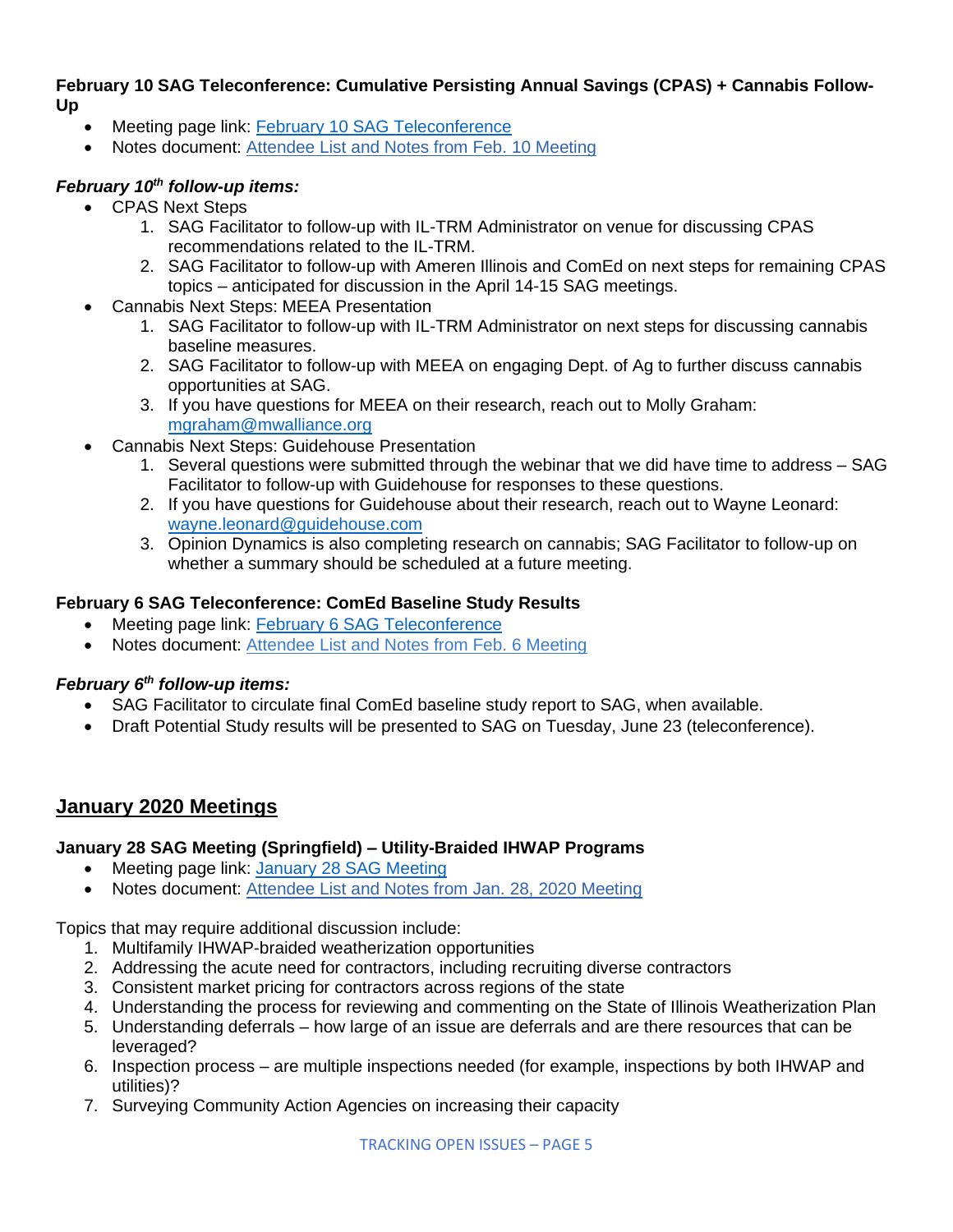#### **February 10 SAG Teleconference: Cumulative Persisting Annual Savings (CPAS) + Cannabis Follow-Up**

- Meeting page link: [February 10 SAG Teleconference](https://www.ilsag.info/event/monday-february-10-sag-teleconference/)
- Notes document: [Attendee List and Notes from Feb. 10 Meeting](https://s3.amazonaws.com/ilsag/Large_Group_SAG_Meeting_Monday-Feb-10-2020_Attendees_and_Notes_Final.pdf)

# *February 10th follow-up items:*

- CPAS Next Steps
	- 1. SAG Facilitator to follow-up with IL-TRM Administrator on venue for discussing CPAS recommendations related to the IL-TRM.
	- 2. SAG Facilitator to follow-up with Ameren Illinois and ComEd on next steps for remaining CPAS topics – anticipated for discussion in the April 14-15 SAG meetings.
- Cannabis Next Steps: MEEA Presentation
	- 1. SAG Facilitator to follow-up with IL-TRM Administrator on next steps for discussing cannabis baseline measures.
	- 2. SAG Facilitator to follow-up with MEEA on engaging Dept. of Ag to further discuss cannabis opportunities at SAG.
	- 3. If you have questions for MEEA on their research, reach out to Molly Graham: [mgraham@mwalliance.org](mailto:mgraham@mwalliance.org)
- Cannabis Next Steps: Guidehouse Presentation
	- 1. Several questions were submitted through the webinar that we did have time to address SAG Facilitator to follow-up with Guidehouse for responses to these questions.
	- 2. If you have questions for Guidehouse about their research, reach out to Wayne Leonard: [wayne.leonard@guidehouse.com](mailto:wayne.leonard@guidehouse.com)
	- 3. Opinion Dynamics is also completing research on cannabis; SAG Facilitator to follow-up on whether a summary should be scheduled at a future meeting.

## **February 6 SAG Teleconference: ComEd Baseline Study Results**

- Meeting page link: **February 6 SAG Teleconference**
- Notes document: [Attendee List and Notes from Feb. 6 Meeting](https://s3.amazonaws.com/ilsag/Large_Group_SAG_Meeting_Thursday-Feb-6-2020_Attendees_and_Notes_Final.pdf)

# *February 6th follow-up items:*

- SAG Facilitator to circulate final ComEd baseline study report to SAG, when available.
- Draft Potential Study results will be presented to SAG on Tuesday, June 23 (teleconference).

# **January 2020 Meetings**

#### **January 28 SAG Meeting (Springfield) – Utility-Braided IHWAP Programs**

- Meeting page link: [January 28 SAG Meeting](https://www.ilsag.info/event/tuesday-january-28-sag-meeting/)
- Notes document: [Attendee List and Notes from Jan. 28, 2020 Meeting](https://s3.amazonaws.com/ilsag/Large_Group_SAG_Meeting_Tuesday_Jan-28-2020_Attendees_and_Notes_Final.pdf)

Topics that may require additional discussion include:

- 1. Multifamily IHWAP-braided weatherization opportunities
- 2. Addressing the acute need for contractors, including recruiting diverse contractors
- 3. Consistent market pricing for contractors across regions of the state
- 4. Understanding the process for reviewing and commenting on the State of Illinois Weatherization Plan
- 5. Understanding deferrals how large of an issue are deferrals and are there resources that can be leveraged?
- 6. Inspection process are multiple inspections needed (for example, inspections by both IHWAP and utilities)?
- 7. Surveying Community Action Agencies on increasing their capacity